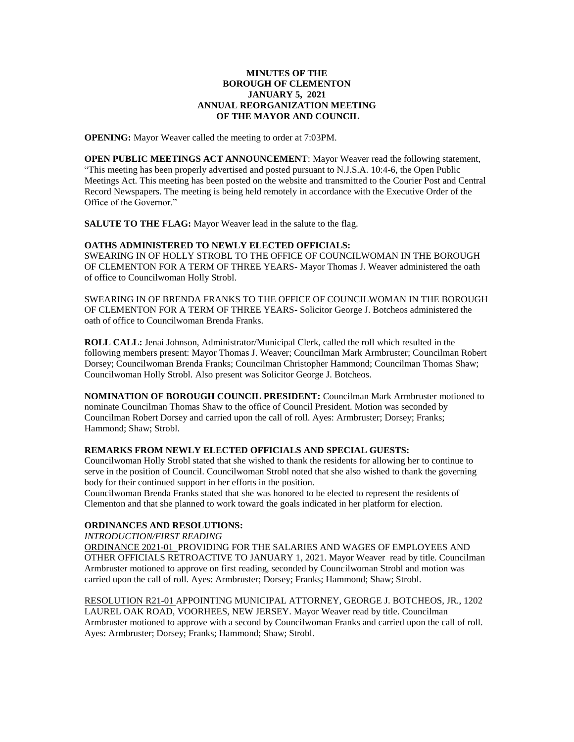## **MINUTES OF THE BOROUGH OF CLEMENTON JANUARY 5, 2021 ANNUAL REORGANIZATION MEETING OF THE MAYOR AND COUNCIL**

**OPENING:** Mayor Weaver called the meeting to order at 7:03PM.

**OPEN PUBLIC MEETINGS ACT ANNOUNCEMENT**: Mayor Weaver read the following statement, "This meeting has been properly advertised and posted pursuant to N.J.S.A. 10:4-6, the Open Public Meetings Act. This meeting has been posted on the website and transmitted to the Courier Post and Central Record Newspapers. The meeting is being held remotely in accordance with the Executive Order of the Office of the Governor."

**SALUTE TO THE FLAG:** Mayor Weaver lead in the salute to the flag.

### **OATHS ADMINISTERED TO NEWLY ELECTED OFFICIALS:**

SWEARING IN OF HOLLY STROBL TO THE OFFICE OF COUNCILWOMAN IN THE BOROUGH OF CLEMENTON FOR A TERM OF THREE YEARS- Mayor Thomas J. Weaver administered the oath of office to Councilwoman Holly Strobl.

SWEARING IN OF BRENDA FRANKS TO THE OFFICE OF COUNCILWOMAN IN THE BOROUGH OF CLEMENTON FOR A TERM OF THREE YEARS- Solicitor George J. Botcheos administered the oath of office to Councilwoman Brenda Franks.

**ROLL CALL:** Jenai Johnson, Administrator/Municipal Clerk, called the roll which resulted in the following members present: Mayor Thomas J. Weaver; Councilman Mark Armbruster; Councilman Robert Dorsey; Councilwoman Brenda Franks; Councilman Christopher Hammond; Councilman Thomas Shaw; Councilwoman Holly Strobl. Also present was Solicitor George J. Botcheos.

**NOMINATION OF BOROUGH COUNCIL PRESIDENT:** Councilman Mark Armbruster motioned to nominate Councilman Thomas Shaw to the office of Council President. Motion was seconded by Councilman Robert Dorsey and carried upon the call of roll. Ayes: Armbruster; Dorsey; Franks; Hammond; Shaw; Strobl.

# **REMARKS FROM NEWLY ELECTED OFFICIALS AND SPECIAL GUESTS:**

Councilwoman Holly Strobl stated that she wished to thank the residents for allowing her to continue to serve in the position of Council. Councilwoman Strobl noted that she also wished to thank the governing body for their continued support in her efforts in the position.

Councilwoman Brenda Franks stated that she was honored to be elected to represent the residents of Clementon and that she planned to work toward the goals indicated in her platform for election.

# **ORDINANCES AND RESOLUTIONS:**

*INTRODUCTION/FIRST READING*

ORDINANCE 2021-01 PROVIDING FOR THE SALARIES AND WAGES OF EMPLOYEES AND OTHER OFFICIALS RETROACTIVE TO JANUARY 1, 2021. Mayor Weaver read by title. Councilman Armbruster motioned to approve on first reading, seconded by Councilwoman Strobl and motion was carried upon the call of roll. Ayes: Armbruster; Dorsey; Franks; Hammond; Shaw; Strobl.

RESOLUTION R21-01 APPOINTING MUNICIPAL ATTORNEY, GEORGE J. BOTCHEOS, JR., 1202 LAUREL OAK ROAD, VOORHEES, NEW JERSEY. Mayor Weaver read by title. Councilman Armbruster motioned to approve with a second by Councilwoman Franks and carried upon the call of roll. Ayes: Armbruster; Dorsey; Franks; Hammond; Shaw; Strobl.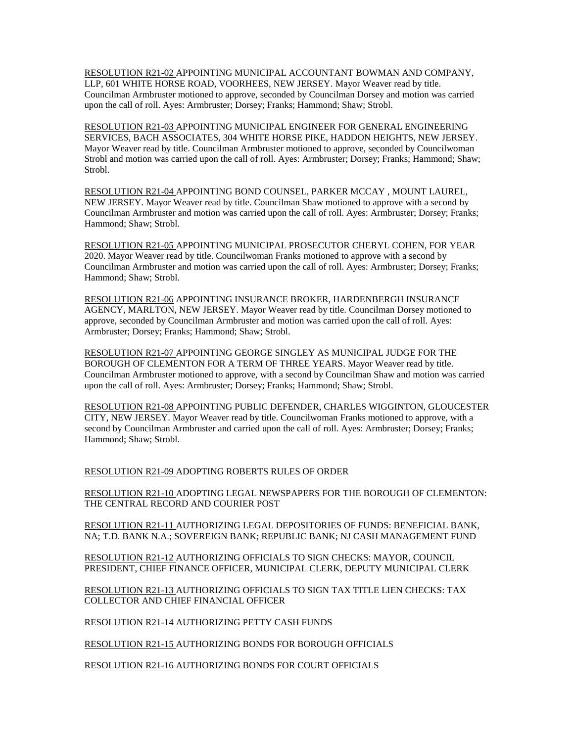RESOLUTION R21-02 APPOINTING MUNICIPAL ACCOUNTANT BOWMAN AND COMPANY, LLP, 601 WHITE HORSE ROAD, VOORHEES, NEW JERSEY. Mayor Weaver read by title. Councilman Armbruster motioned to approve, seconded by Councilman Dorsey and motion was carried upon the call of roll. Ayes: Armbruster; Dorsey; Franks; Hammond; Shaw; Strobl.

RESOLUTION R21-03 APPOINTING MUNICIPAL ENGINEER FOR GENERAL ENGINEERING SERVICES, BACH ASSOCIATES, 304 WHITE HORSE PIKE, HADDON HEIGHTS, NEW JERSEY. Mayor Weaver read by title. Councilman Armbruster motioned to approve, seconded by Councilwoman Strobl and motion was carried upon the call of roll. Ayes: Armbruster; Dorsey; Franks; Hammond; Shaw; Strobl.

RESOLUTION R21-04 APPOINTING BOND COUNSEL, PARKER MCCAY , MOUNT LAUREL, NEW JERSEY. Mayor Weaver read by title. Councilman Shaw motioned to approve with a second by Councilman Armbruster and motion was carried upon the call of roll. Ayes: Armbruster; Dorsey; Franks; Hammond; Shaw; Strobl.

RESOLUTION R21-05 APPOINTING MUNICIPAL PROSECUTOR CHERYL COHEN, FOR YEAR 2020. Mayor Weaver read by title. Councilwoman Franks motioned to approve with a second by Councilman Armbruster and motion was carried upon the call of roll. Ayes: Armbruster; Dorsey; Franks; Hammond; Shaw; Strobl.

RESOLUTION R21-06 APPOINTING INSURANCE BROKER, HARDENBERGH INSURANCE AGENCY, MARLTON, NEW JERSEY. Mayor Weaver read by title. Councilman Dorsey motioned to approve, seconded by Councilman Armbruster and motion was carried upon the call of roll. Ayes: Armbruster; Dorsey; Franks; Hammond; Shaw; Strobl.

RESOLUTION R21-07 APPOINTING GEORGE SINGLEY AS MUNICIPAL JUDGE FOR THE BOROUGH OF CLEMENTON FOR A TERM OF THREE YEARS. Mayor Weaver read by title. Councilman Armbruster motioned to approve, with a second by Councilman Shaw and motion was carried upon the call of roll. Ayes: Armbruster; Dorsey; Franks; Hammond; Shaw; Strobl.

RESOLUTION R21-08 APPOINTING PUBLIC DEFENDER, CHARLES WIGGINTON, GLOUCESTER CITY, NEW JERSEY. Mayor Weaver read by title. Councilwoman Franks motioned to approve, with a second by Councilman Armbruster and carried upon the call of roll. Ayes: Armbruster; Dorsey; Franks; Hammond; Shaw; Strobl.

RESOLUTION R21-09 ADOPTING ROBERTS RULES OF ORDER

RESOLUTION R21-10 ADOPTING LEGAL NEWSPAPERS FOR THE BOROUGH OF CLEMENTON: THE CENTRAL RECORD AND COURIER POST

RESOLUTION R21-11 AUTHORIZING LEGAL DEPOSITORIES OF FUNDS: BENEFICIAL BANK, NA; T.D. BANK N.A.; SOVEREIGN BANK; REPUBLIC BANK; NJ CASH MANAGEMENT FUND

RESOLUTION R21-12 AUTHORIZING OFFICIALS TO SIGN CHECKS: MAYOR, COUNCIL PRESIDENT, CHIEF FINANCE OFFICER, MUNICIPAL CLERK, DEPUTY MUNICIPAL CLERK

RESOLUTION R21-13 AUTHORIZING OFFICIALS TO SIGN TAX TITLE LIEN CHECKS: TAX COLLECTOR AND CHIEF FINANCIAL OFFICER

RESOLUTION R21-14 AUTHORIZING PETTY CASH FUNDS

RESOLUTION R21-15 AUTHORIZING BONDS FOR BOROUGH OFFICIALS

RESOLUTION R21-16 AUTHORIZING BONDS FOR COURT OFFICIALS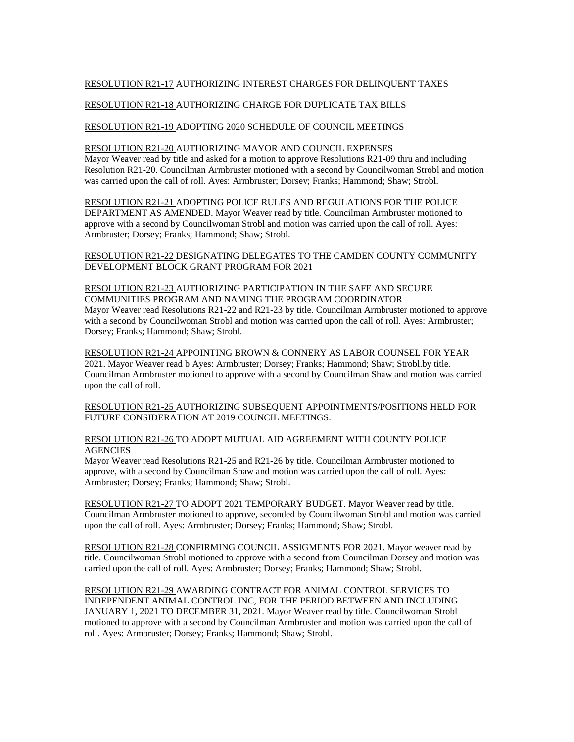## RESOLUTION R21-17 AUTHORIZING INTEREST CHARGES FOR DELINQUENT TAXES

## RESOLUTION R21-18 AUTHORIZING CHARGE FOR DUPLICATE TAX BILLS

### RESOLUTION R21-19 ADOPTING 2020 SCHEDULE OF COUNCIL MEETINGS

# RESOLUTION R21-20 AUTHORIZING MAYOR AND COUNCIL EXPENSES

Mayor Weaver read by title and asked for a motion to approve Resolutions R21-09 thru and including Resolution R21-20. Councilman Armbruster motioned with a second by Councilwoman Strobl and motion was carried upon the call of roll. Ayes: Armbruster; Dorsey; Franks; Hammond; Shaw; Strobl.

## RESOLUTION R21-21 ADOPTING POLICE RULES AND REGULATIONS FOR THE POLICE DEPARTMENT AS AMENDED. Mayor Weaver read by title. Councilman Armbruster motioned to approve with a second by Councilwoman Strobl and motion was carried upon the call of roll. Ayes: Armbruster; Dorsey; Franks; Hammond; Shaw; Strobl.

RESOLUTION R21-22 DESIGNATING DELEGATES TO THE CAMDEN COUNTY COMMUNITY DEVELOPMENT BLOCK GRANT PROGRAM FOR 2021

# RESOLUTION R21-23 AUTHORIZING PARTICIPATION IN THE SAFE AND SECURE COMMUNITIES PROGRAM AND NAMING THE PROGRAM COORDINATOR Mayor Weaver read Resolutions R21-22 and R21-23 by title. Councilman Armbruster motioned to approve with a second by Councilwoman Strobl and motion was carried upon the call of roll. Ayes: Armbruster; Dorsey; Franks; Hammond; Shaw; Strobl.

RESOLUTION R21-24 APPOINTING BROWN & CONNERY AS LABOR COUNSEL FOR YEAR 2021. Mayor Weaver read b Ayes: Armbruster; Dorsey; Franks; Hammond; Shaw; Strobl.by title. Councilman Armbruster motioned to approve with a second by Councilman Shaw and motion was carried upon the call of roll.

RESOLUTION R21-25 AUTHORIZING SUBSEQUENT APPOINTMENTS/POSITIONS HELD FOR FUTURE CONSIDERATION AT 2019 COUNCIL MEETINGS.

### RESOLUTION R21-26 TO ADOPT MUTUAL AID AGREEMENT WITH COUNTY POLICE **AGENCIES**

Mayor Weaver read Resolutions R21-25 and R21-26 by title. Councilman Armbruster motioned to approve, with a second by Councilman Shaw and motion was carried upon the call of roll. Ayes: Armbruster; Dorsey; Franks; Hammond; Shaw; Strobl.

RESOLUTION R21-27 TO ADOPT 2021 TEMPORARY BUDGET. Mayor Weaver read by title. Councilman Armbruster motioned to approve, seconded by Councilwoman Strobl and motion was carried upon the call of roll. Ayes: Armbruster; Dorsey; Franks; Hammond; Shaw; Strobl.

RESOLUTION R21-28 CONFIRMING COUNCIL ASSIGMENTS FOR 2021. Mayor weaver read by title. Councilwoman Strobl motioned to approve with a second from Councilman Dorsey and motion was carried upon the call of roll. Ayes: Armbruster; Dorsey; Franks; Hammond; Shaw; Strobl.

RESOLUTION R21-29 AWARDING CONTRACT FOR ANIMAL CONTROL SERVICES TO INDEPENDENT ANIMAL CONTROL INC, FOR THE PERIOD BETWEEN AND INCLUDING JANUARY 1, 2021 TO DECEMBER 31, 2021. Mayor Weaver read by title. Councilwoman Strobl motioned to approve with a second by Councilman Armbruster and motion was carried upon the call of roll. Ayes: Armbruster; Dorsey; Franks; Hammond; Shaw; Strobl.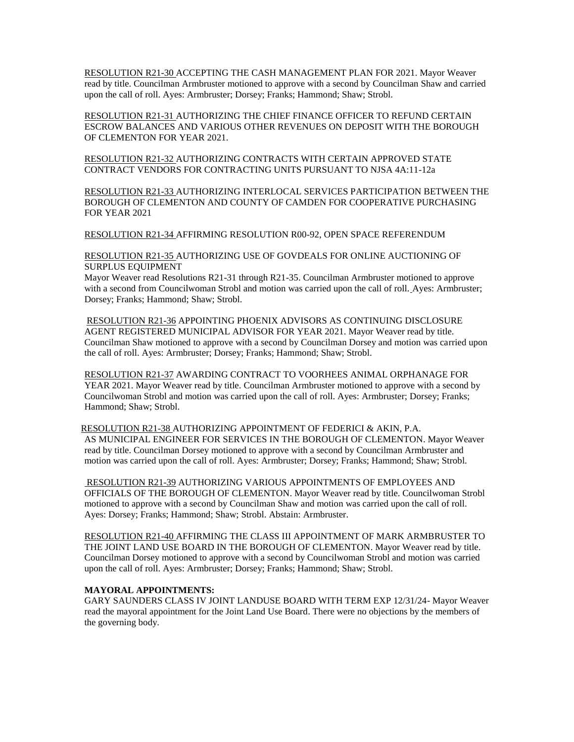RESOLUTION R21-30 ACCEPTING THE CASH MANAGEMENT PLAN FOR 2021. Mayor Weaver read by title. Councilman Armbruster motioned to approve with a second by Councilman Shaw and carried upon the call of roll. Ayes: Armbruster; Dorsey; Franks; Hammond; Shaw; Strobl.

RESOLUTION R21-31 AUTHORIZING THE CHIEF FINANCE OFFICER TO REFUND CERTAIN ESCROW BALANCES AND VARIOUS OTHER REVENUES ON DEPOSIT WITH THE BOROUGH OF CLEMENTON FOR YEAR 2021.

RESOLUTION R21-32 AUTHORIZING CONTRACTS WITH CERTAIN APPROVED STATE CONTRACT VENDORS FOR CONTRACTING UNITS PURSUANT TO NJSA 4A:11-12a

RESOLUTION R21-33 AUTHORIZING INTERLOCAL SERVICES PARTICIPATION BETWEEN THE BOROUGH OF CLEMENTON AND COUNTY OF CAMDEN FOR COOPERATIVE PURCHASING FOR YEAR 2021

RESOLUTION R21-34 AFFIRMING RESOLUTION R00-92, OPEN SPACE REFERENDUM

RESOLUTION R21-35 AUTHORIZING USE OF GOVDEALS FOR ONLINE AUCTIONING OF SURPLUS EQUIPMENT

Mayor Weaver read Resolutions R21-31 through R21-35. Councilman Armbruster motioned to approve with a second from Councilwoman Strobl and motion was carried upon the call of roll. Ayes: Armbruster; Dorsey; Franks; Hammond; Shaw; Strobl.

RESOLUTION R21-36 APPOINTING PHOENIX ADVISORS AS CONTINUING DISCLOSURE AGENT REGISTERED MUNICIPAL ADVISOR FOR YEAR 2021. Mayor Weaver read by title. Councilman Shaw motioned to approve with a second by Councilman Dorsey and motion was carried upon the call of roll. Ayes: Armbruster; Dorsey; Franks; Hammond; Shaw; Strobl.

RESOLUTION R21-37 AWARDING CONTRACT TO VOORHEES ANIMAL ORPHANAGE FOR YEAR 2021. Mayor Weaver read by title. Councilman Armbruster motioned to approve with a second by Councilwoman Strobl and motion was carried upon the call of roll. Ayes: Armbruster; Dorsey; Franks; Hammond; Shaw; Strobl.

RESOLUTION R21-38 AUTHORIZING APPOINTMENT OF FEDERICI & AKIN, P.A. AS MUNICIPAL ENGINEER FOR SERVICES IN THE BOROUGH OF CLEMENTON. Mayor Weaver read by title. Councilman Dorsey motioned to approve with a second by Councilman Armbruster and motion was carried upon the call of roll. Ayes: Armbruster; Dorsey; Franks; Hammond; Shaw; Strobl.

RESOLUTION R21-39 AUTHORIZING VARIOUS APPOINTMENTS OF EMPLOYEES AND OFFICIALS OF THE BOROUGH OF CLEMENTON. Mayor Weaver read by title. Councilwoman Strobl motioned to approve with a second by Councilman Shaw and motion was carried upon the call of roll. Ayes: Dorsey; Franks; Hammond; Shaw; Strobl. Abstain: Armbruster.

RESOLUTION R21-40 AFFIRMING THE CLASS III APPOINTMENT OF MARK ARMBRUSTER TO THE JOINT LAND USE BOARD IN THE BOROUGH OF CLEMENTON. Mayor Weaver read by title. Councilman Dorsey motioned to approve with a second by Councilwoman Strobl and motion was carried upon the call of roll. Ayes: Armbruster; Dorsey; Franks; Hammond; Shaw; Strobl.

## **MAYORAL APPOINTMENTS:**

GARY SAUNDERS CLASS IV JOINT LANDUSE BOARD WITH TERM EXP 12/31/24- Mayor Weaver read the mayoral appointment for the Joint Land Use Board. There were no objections by the members of the governing body.